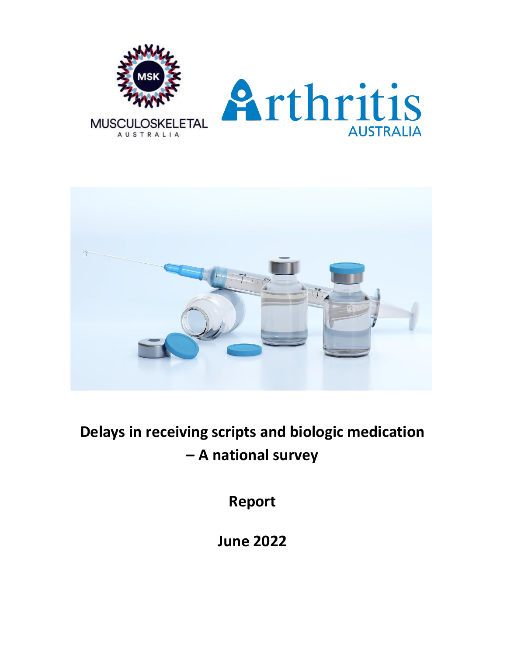



**Delays in receiving scripts and biologic medication – A national survey**

**Report**

**June 2022**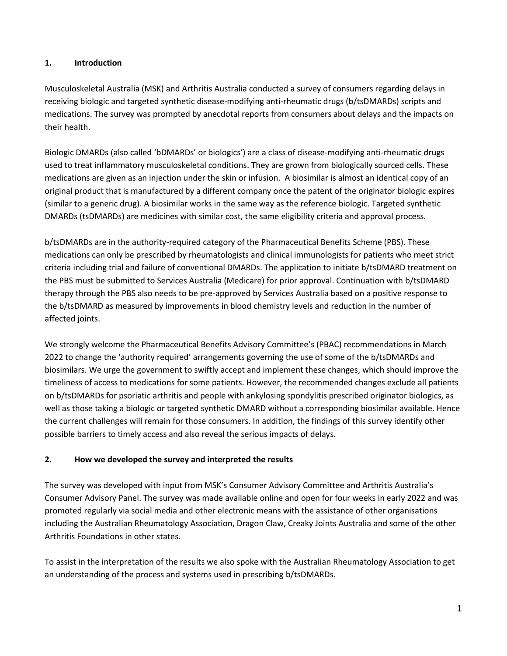#### **1. Introduction**

Musculoskeletal Australia (MSK) and Arthritis Australia conducted a survey of consumers regarding delays in receiving biologic and targeted synthetic disease-modifying anti-rheumatic drugs (b/tsDMARDs) scripts and medications. The survey was prompted by anecdotal reports from consumers about delays and the impacts on their health.

Biologic DMARDs (also called 'bDMARDs' or biologics') are a class of disease-modifying anti-rheumatic drugs used to treat inflammatory musculoskeletal conditions. They are grown from biologically sourced cells. These medications are given as an injection under the skin or infusion. A biosimilar is almost an identical copy of an original product that is manufactured by a different company once the patent of the originator biologic expires (similar to a generic drug). A biosimilar works in the same way as the reference biologic. Targeted synthetic DMARDs (tsDMARDs) are medicines with similar cost, the same eligibility criteria and approval process.

b/tsDMARDs are in the authority-required category of the Pharmaceutical Benefits Scheme (PBS). These medications can only be prescribed by rheumatologists and clinical immunologists for patients who meet strict criteria including trial and failure of conventional DMARDs. The application to initiate b/tsDMARD treatment on the PBS must be submitted to Services Australia (Medicare) for prior approval. Continuation with b/tsDMARD therapy through the PBS also needs to be pre-approved by Services Australia based on a positive response to the b/tsDMARD as measured by improvements in blood chemistry levels and reduction in the number of affected joints.

We strongly welcome the Pharmaceutical Benefits Advisory Committee's (PBAC) recommendations in March 2022 to change the 'authority required' arrangements governing the use of some of the b/tsDMARDs and biosimilars. We urge the government to swiftly accept and implement these changes, which should improve the timeliness of access to medications for some patients. However, the recommended changes exclude all patients on b/tsDMARDs for psoriatic arthritis and people with ankylosing spondylitis prescribed originator biologics, as well as those taking a biologic or targeted synthetic DMARD without a corresponding biosimilar available. Hence the current challenges will remain for those consumers. In addition, the findings of this survey identify other possible barriers to timely access and also reveal the serious impacts of delays.

### **2. How we developed the survey and interpreted the results**

The survey was developed with input from MSK's Consumer Advisory Committee and Arthritis Australia's Consumer Advisory Panel. The survey was made available online and open for four weeks in early 2022 and was promoted regularly via social media and other electronic means with the assistance of other organisations including the Australian Rheumatology Association, Dragon Claw, Creaky Joints Australia and some of the other Arthritis Foundations in other states.

To assist in the interpretation of the results we also spoke with the Australian Rheumatology Association to get an understanding of the process and systems used in prescribing b/tsDMARDs.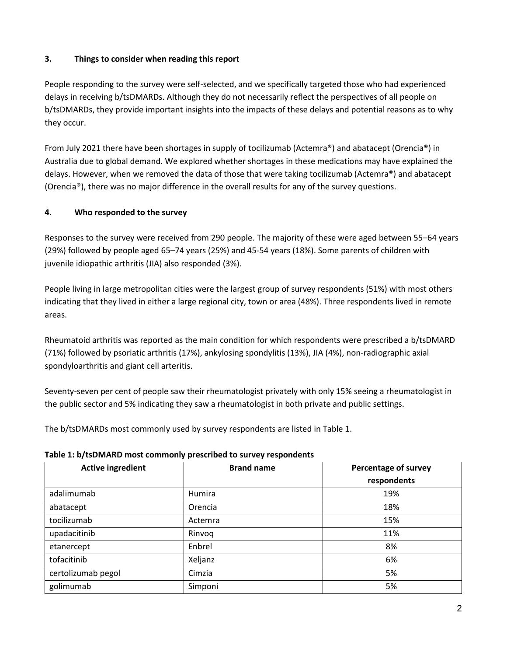## **3. Things to consider when reading this report**

People responding to the survey were self-selected, and we specifically targeted those who had experienced delays in receiving b/tsDMARDs. Although they do not necessarily reflect the perspectives of all people on b/tsDMARDs, they provide important insights into the impacts of these delays and potential reasons as to why they occur.

From July 2021 there have been shortages in supply of tocilizumab (Actemra®) and abatacept (Orencia®) in Australia due to global demand. We explored whether shortages in these medications may have explained the delays. However, when we removed the data of those that were taking tocilizumab (Actemra®) and abatacept (Orencia®), there was no major difference in the overall results for any of the survey questions.

## **4. Who responded to the survey**

Responses to the survey were received from 290 people. The majority of these were aged between 55–64 years (29%) followed by people aged 65–74 years (25%) and 45-54 years (18%). Some parents of children with juvenile idiopathic arthritis (JIA) also responded (3%).

People living in large metropolitan cities were the largest group of survey respondents (51%) with most others indicating that they lived in either a large regional city, town or area (48%). Three respondents lived in remote areas.

Rheumatoid arthritis was reported as the main condition for which respondents were prescribed a b/tsDMARD (71%) followed by psoriatic arthritis (17%), ankylosing spondylitis (13%), JIA (4%), non-radiographic axial spondyloarthritis and giant cell arteritis.

Seventy-seven per cent of people saw their rheumatologist privately with only 15% seeing a rheumatologist in the public sector and 5% indicating they saw a rheumatologist in both private and public settings.

The b/tsDMARDs most commonly used by survey respondents are listed in Table 1.

| <b>Active ingredient</b> | <b>Brand name</b> | <b>Percentage of survey</b> |
|--------------------------|-------------------|-----------------------------|
|                          |                   | respondents                 |
| adalimumab               | Humira            | 19%                         |
| abatacept                | Orencia           | 18%                         |
| tocilizumab              | Actemra           | 15%                         |
| upadacitinib             | Rinvoq            | 11%                         |
| etanercept               | Enbrel            | 8%                          |
| tofacitinib              | Xeljanz           | 6%                          |
| certolizumab pegol       | Cimzia            | 5%                          |
| golimumab                | Simponi           | 5%                          |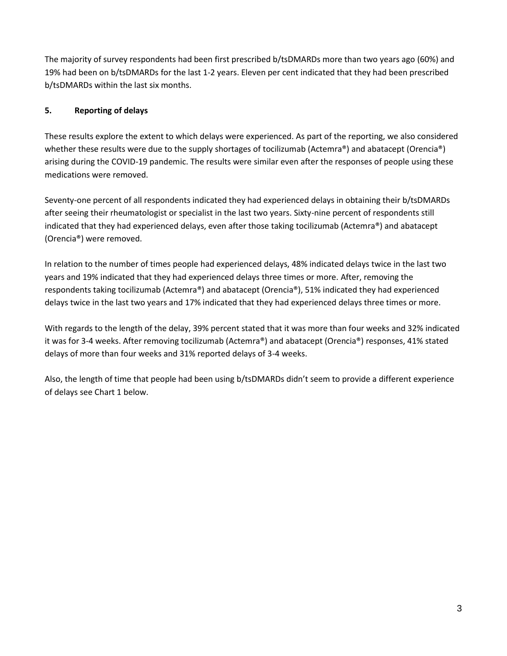The majority of survey respondents had been first prescribed b/tsDMARDs more than two years ago (60%) and 19% had been on b/tsDMARDs for the last 1-2 years. Eleven per cent indicated that they had been prescribed b/tsDMARDs within the last six months.

# **5. Reporting of delays**

These results explore the extent to which delays were experienced. As part of the reporting, we also considered whether these results were due to the supply shortages of tocilizumab (Actemra®) and abatacept (Orencia®) arising during the COVID-19 pandemic. The results were similar even after the responses of people using these medications were removed.

Seventy-one percent of all respondents indicated they had experienced delays in obtaining their b/tsDMARDs after seeing their rheumatologist or specialist in the last two years. Sixty-nine percent of respondents still indicated that they had experienced delays, even after those taking tocilizumab (Actemra®) and abatacept (Orencia®) were removed.

In relation to the number of times people had experienced delays, 48% indicated delays twice in the last two years and 19% indicated that they had experienced delays three times or more. After, removing the respondents taking tocilizumab (Actemra®) and abatacept (Orencia®), 51% indicated they had experienced delays twice in the last two years and 17% indicated that they had experienced delays three times or more.

With regards to the length of the delay, 39% percent stated that it was more than four weeks and 32% indicated it was for 3-4 weeks. After removing tocilizumab (Actemra®) and abatacept (Orencia®) responses, 41% stated delays of more than four weeks and 31% reported delays of 3-4 weeks.

Also, the length of time that people had been using b/tsDMARDs didn't seem to provide a different experience of delays see Chart 1 below.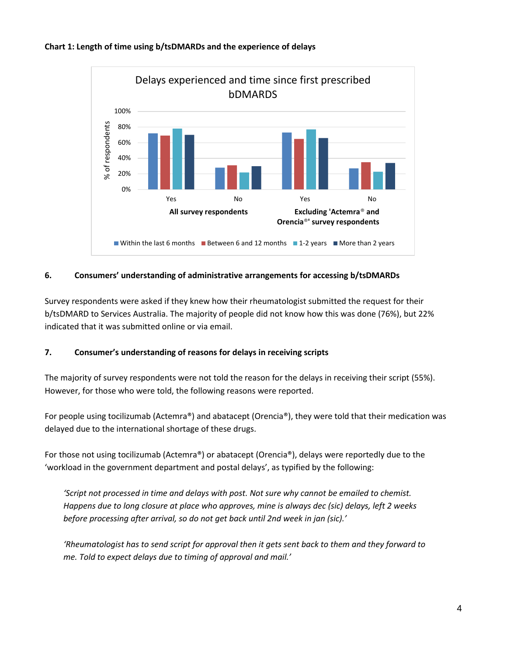



#### **6. Consumers' understanding of administrative arrangements for accessing b/tsDMARDs**

Survey respondents were asked if they knew how their rheumatologist submitted the request for their b/tsDMARD to Services Australia. The majority of people did not know how this was done (76%), but 22% indicated that it was submitted online or via email.

### **7. Consumer's understanding of reasons for delays in receiving scripts**

The majority of survey respondents were not told the reason for the delays in receiving their script (55%). However, for those who were told, the following reasons were reported.

For people using tocilizumab (Actemra®) and abatacept (Orencia®), they were told that their medication was delayed due to the international shortage of these drugs.

For those not using tocilizumab (Actemra®) or abatacept (Orencia®), delays were reportedly due to the 'workload in the government department and postal delays', as typified by the following:

*'Script not processed in time and delays with post. Not sure why cannot be emailed to chemist. Happens due to long closure at place who approves, mine is always dec (sic) delays, left 2 weeks before processing after arrival, so do not get back until 2nd week in jan (sic).'*

*'Rheumatologist has to send script for approval then it gets sent back to them and they forward to me. Told to expect delays due to timing of approval and mail.'*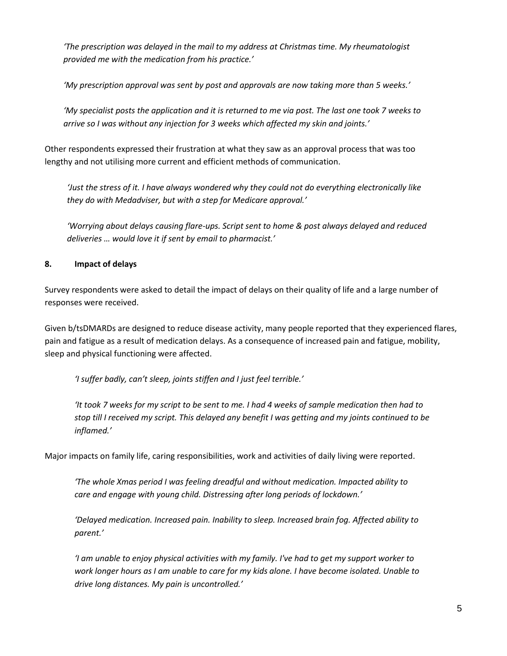*'The prescription was delayed in the mail to my address at Christmas time. My rheumatologist provided me with the medication from his practice.'*

*'My prescription approval was sent by post and approvals are now taking more than 5 weeks.'*

*'My specialist posts the application and it is returned to me via post. The last one took 7 weeks to arrive so I was without any injection for 3 weeks which affected my skin and joints.'*

Other respondents expressed their frustration at what they saw as an approval process that was too lengthy and not utilising more current and efficient methods of communication.

*'Just the stress of it. I have always wondered why they could not do everything electronically like they do with Medadviser, but with a step for Medicare approval.'*

*'Worrying about delays causing flare-ups. Script sent to home & post always delayed and reduced deliveries … would love it if sent by email to pharmacist.'*

## **8. Impact of delays**

Survey respondents were asked to detail the impact of delays on their quality of life and a large number of responses were received.

Given b/tsDMARDs are designed to reduce disease activity, many people reported that they experienced flares, pain and fatigue as a result of medication delays. As a consequence of increased pain and fatigue, mobility, sleep and physical functioning were affected.

*'I suffer badly, can't sleep, joints stiffen and I just feel terrible.'*

*'It took 7 weeks for my script to be sent to me. I had 4 weeks of sample medication then had to stop till I received my script. This delayed any benefit I was getting and my joints continued to be inflamed.'*

Major impacts on family life, caring responsibilities, work and activities of daily living were reported.

*'The whole Xmas period I was feeling dreadful and without medication. Impacted ability to care and engage with young child. Distressing after long periods of lockdown.'*

*'Delayed medication. Increased pain. Inability to sleep. Increased brain fog. Affected ability to parent.'*

*'I am unable to enjoy physical activities with my family. I've had to get my support worker to work longer hours as I am unable to care for my kids alone. I have become isolated. Unable to drive long distances. My pain is uncontrolled.'*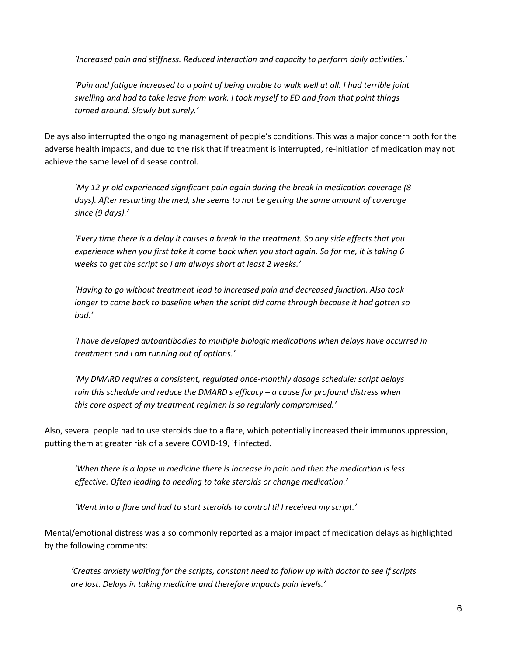*'Increased pain and stiffness. Reduced interaction and capacity to perform daily activities.'*

*'Pain and fatigue increased to a point of being unable to walk well at all. I had terrible joint swelling and had to take leave from work. I took myself to ED and from that point things turned around. Slowly but surely.'*

Delays also interrupted the ongoing management of people's conditions. This was a major concern both for the adverse health impacts, and due to the risk that if treatment is interrupted, re-initiation of medication may not achieve the same level of disease control.

*'My 12 yr old experienced significant pain again during the break in medication coverage (8 days). After restarting the med, she seems to not be getting the same amount of coverage since (9 days).'*

*'Every time there is a delay it causes a break in the treatment. So any side effects that you experience when you first take it come back when you start again. So for me, it is taking 6 weeks to get the script so I am always short at least 2 weeks.'*

*'Having to go without treatment lead to increased pain and decreased function. Also took longer to come back to baseline when the script did come through because it had gotten so bad.'*

*'I have developed autoantibodies to multiple biologic medications when delays have occurred in treatment and I am running out of options.'*

*'My DMARD requires a consistent, regulated once-monthly dosage schedule: script delays ruin this schedule and reduce the DMARD's efficacy – a cause for profound distress when this core aspect of my treatment regimen is so regularly compromised.'*

Also, several people had to use steroids due to a flare, which potentially increased their immunosuppression, putting them at greater risk of a severe COVID-19, if infected.

*'When there is a lapse in medicine there is increase in pain and then the medication is less effective. Often leading to needing to take steroids or change medication.'*

*'Went into a flare and had to start steroids to control til I received my script.'*

Mental/emotional distress was also commonly reported as a major impact of medication delays as highlighted by the following comments:

*'Creates anxiety waiting for the scripts, constant need to follow up with doctor to see if scripts are lost. Delays in taking medicine and therefore impacts pain levels.'*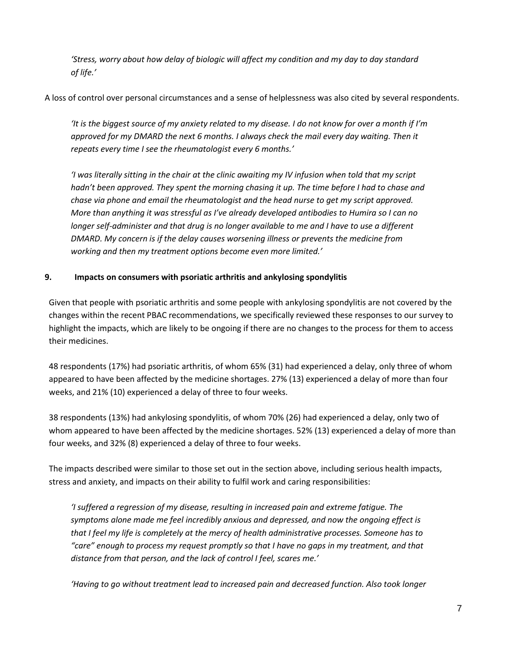*'Stress, worry about how delay of biologic will affect my condition and my day to day standard of life.'*

A loss of control over personal circumstances and a sense of helplessness was also cited by several respondents.

*'It is the biggest source of my anxiety related to my disease. I do not know for over a month if I'm*  approved for my DMARD the next 6 months. I always check the mail every day waiting. Then it *repeats every time I see the rheumatologist every 6 months.'*

*'I was literally sitting in the chair at the clinic awaiting my IV infusion when told that my script*  hadn't been approved. They spent the morning chasing it up. The time before I had to chase and *chase via phone and email the rheumatologist and the head nurse to get my script approved. More than anything it was stressful as I've already developed antibodies to Humira so I can no longer self-administer and that drug is no longer available to me and I have to use a different DMARD. My concern is if the delay causes worsening illness or prevents the medicine from working and then my treatment options become even more limited.'*

## **9. Impacts on consumers with psoriatic arthritis and ankylosing spondylitis**

Given that people with psoriatic arthritis and some people with ankylosing spondylitis are not covered by the changes within the recent PBAC recommendations, we specifically reviewed these responses to our survey to highlight the impacts, which are likely to be ongoing if there are no changes to the process for them to access their medicines.

48 respondents (17%) had psoriatic arthritis, of whom 65% (31) had experienced a delay, only three of whom appeared to have been affected by the medicine shortages. 27% (13) experienced a delay of more than four weeks, and 21% (10) experienced a delay of three to four weeks.

38 respondents (13%) had ankylosing spondylitis, of whom 70% (26) had experienced a delay, only two of whom appeared to have been affected by the medicine shortages. 52% (13) experienced a delay of more than four weeks, and 32% (8) experienced a delay of three to four weeks.

The impacts described were similar to those set out in the section above, including serious health impacts, stress and anxiety, and impacts on their ability to fulfil work and caring responsibilities:

*'I suffered a regression of my disease, resulting in increased pain and extreme fatigue. The symptoms alone made me feel incredibly anxious and depressed, and now the ongoing effect is that I feel my life is completely at the mercy of health administrative processes. Someone has to "care" enough to process my request promptly so that I have no gaps in my treatment, and that distance from that person, and the lack of control I feel, scares me.'*

*'Having to go without treatment lead to increased pain and decreased function. Also took longer*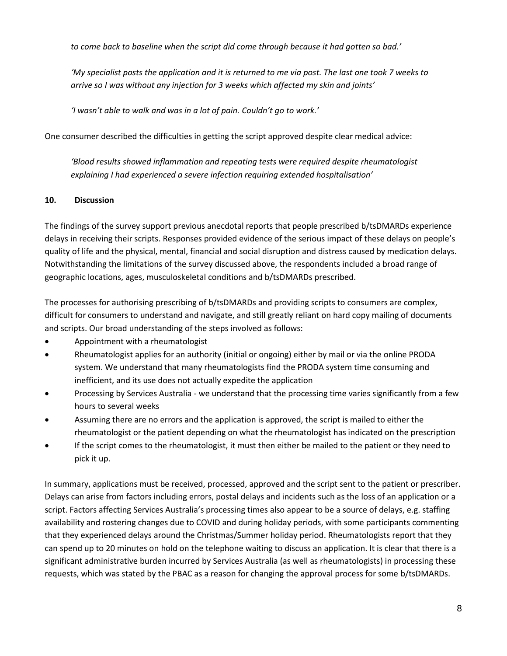*to come back to baseline when the script did come through because it had gotten so bad.'*

*'My specialist posts the application and it is returned to me via post. The last one took 7 weeks to arrive so I was without any injection for 3 weeks which affected my skin and joints'*

*'I wasn't able to walk and was in a lot of pain. Couldn't go to work.'*

One consumer described the difficulties in getting the script approved despite clear medical advice:

*'Blood results showed inflammation and repeating tests were required despite rheumatologist explaining I had experienced a severe infection requiring extended hospitalisation'*

#### **10. Discussion**

The findings of the survey support previous anecdotal reports that people prescribed b/tsDMARDs experience delays in receiving their scripts. Responses provided evidence of the serious impact of these delays on people's quality of life and the physical, mental, financial and social disruption and distress caused by medication delays. Notwithstanding the limitations of the survey discussed above, the respondents included a broad range of geographic locations, ages, musculoskeletal conditions and b/tsDMARDs prescribed.

The processes for authorising prescribing of b/tsDMARDs and providing scripts to consumers are complex, difficult for consumers to understand and navigate, and still greatly reliant on hard copy mailing of documents and scripts. Our broad understanding of the steps involved as follows:

- Appointment with a rheumatologist
- Rheumatologist applies for an authority (initial or ongoing) either by mail or via the online PRODA system. We understand that many rheumatologists find the PRODA system time consuming and inefficient, and its use does not actually expedite the application
- Processing by Services Australia we understand that the processing time varies significantly from a few hours to several weeks
- Assuming there are no errors and the application is approved, the script is mailed to either the rheumatologist or the patient depending on what the rheumatologist has indicated on the prescription
- If the script comes to the rheumatologist, it must then either be mailed to the patient or they need to pick it up.

In summary, applications must be received, processed, approved and the script sent to the patient or prescriber. Delays can arise from factors including errors, postal delays and incidents such as the loss of an application or a script. Factors affecting Services Australia's processing times also appear to be a source of delays, e.g. staffing availability and rostering changes due to COVID and during holiday periods, with some participants commenting that they experienced delays around the Christmas/Summer holiday period. Rheumatologists report that they can spend up to 20 minutes on hold on the telephone waiting to discuss an application. It is clear that there is a significant administrative burden incurred by Services Australia (as well as rheumatologists) in processing these requests, which was stated by the PBAC as a reason for changing the approval process for some b/tsDMARDs.